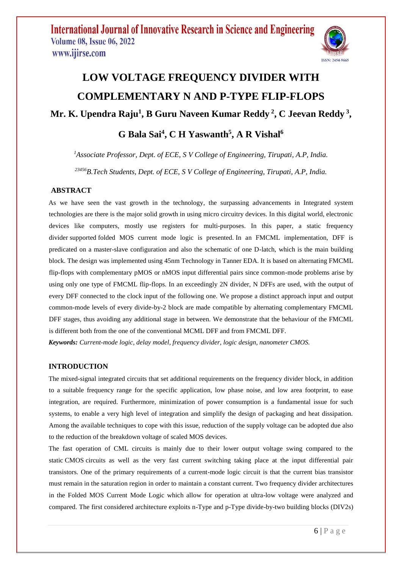

# **LOW VOLTAGE FREQUENCY DIVIDER WITH COMPLEMENTARY N AND P-TYPE FLIP-FLOPS Mr. K. Upendra Raju<sup>1</sup> , B Guru Naveen Kumar Reddy <sup>2</sup> , C Jeevan Reddy <sup>3</sup> ,**

### **G Bala Sai<sup>4</sup> , C H Yaswanth<sup>5</sup> , A R Vishal<sup>6</sup>**

*<sup>1</sup>Associate Professor, Dept. of ECE, S V College of Engineering, Tirupati, A.P, India. <sup>23456</sup>B.Tech Students, Dept. of ECE, S V College of Engineering, Tirupati, A.P, India.*

### **ABSTRACT**

As we have seen the vast growth in the technology, the surpassing advancements in Integrated system technologies are there is the major solid growth in using micro circuitry devices. In this digital world, electronic devices like computers, mostly use registers for multi-purposes. In this paper, a static frequency divider supported folded MOS current mode logic is presented. In an FMCML implementation, DFF is predicated on a master-slave configuration and also the schematic of one D-latch, which is the main building block. The design was implemented using 45nm Technology in Tanner EDA. It is based on alternating FMCML flip-flops with complementary pMOS or nMOS input differential pairs since common-mode problems arise by using only one type of FMCML flip-flops. In an exceedingly 2N divider, N DFFs are used, with the output of every DFF connected to the clock input of the following one. We propose a distinct approach input and output common-mode levels of every divide-by-2 block are made compatible by alternating complementary FMCML DFF stages, thus avoiding any additional stage in between. We demonstrate that the behaviour of the FMCML is different both from the one of the conventional MCML DFF and from FMCML DFF.

*Keywords: Current-mode logic, delay model, frequency divider, logic design, nanometer CMOS.* 

### **INTRODUCTION**

The mixed-signal integrated circuits that set additional requirements on the frequency divider block, in addition to a suitable frequency range for the specific application, low phase noise, and low area footprint, to ease integration, are required. Furthermore, minimization of power consumption is a fundamental issue for such systems, to enable a very high level of integration and simplify the design of packaging and heat dissipation. Among the available techniques to cope with this issue, reduction of the supply voltage can be adopted due also to the reduction of the breakdown voltage of scaled MOS devices.

The fast operation of CML circuits is mainly due to their lower output voltage swing compared to the static CMOS circuits as well as the very fast current switching taking place at the input differential pair transistors. One of the primary requirements of a current-mode logic circuit is that the current bias transistor must remain in the saturation region in order to maintain a constant current. Two frequency divider architectures in the Folded MOS Current Mode Logic which allow for operation at ultra-low voltage were analyzed and compared. The first considered architecture exploits n-Type and p-Type divide-by-two building blocks (DIV2s)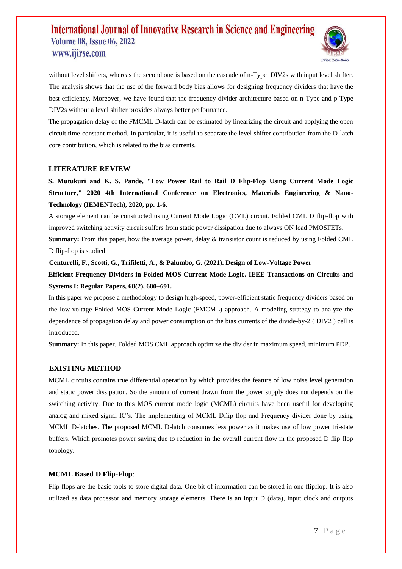

without level shifters, whereas the second one is based on the cascade of n-Type DIV2s with input level shifter. The analysis shows that the use of the forward body bias allows for designing frequency dividers that have the best efficiency. Moreover, we have found that the frequency divider architecture based on n-Type and p-Type DIV2s without a level shifter provides always better performance.

The propagation delay of the FMCML D-latch can be estimated by linearizing the circuit and applying the open circuit time-constant method. In particular, it is useful to separate the level shifter contribution from the D-latch core contribution, which is related to the bias currents.

#### **LITERATURE REVIEW**

**S. Mutukuri and K. S. Pande, "Low Power Rail to Rail D Flip-Flop Using Current Mode Logic Structure," 2020 4th International Conference on Electronics, Materials Engineering & Nano-Technology (IEMENTech), 2020, pp. 1-6.** 

A storage element can be constructed using Current Mode Logic (CML) circuit. Folded CML D flip-flop with improved switching activity circuit suffers from static power dissipation due to always ON load PMOSFETs.

**Summary:** From this paper, how the average power, delay & transistor count is reduced by using Folded CML D flip-flop is studied.

**Centurelli, F., Scotti, G., Trifiletti, A., & Palumbo, G. (2021). Design of Low-Voltage Power Efficient Frequency Dividers in Folded MOS Current Mode Logic. IEEE Transactions on Circuits and** 

**Systems I: Regular Papers, 68(2), 680–691.** 

In this paper we propose a methodology to design high-speed, power-efficient static frequency dividers based on the low-voltage Folded MOS Current Mode Logic (FMCML) approach. A modeling strategy to analyze the dependence of propagation delay and power consumption on the bias currents of the divide-by-2 ( DIV2 ) cell is introduced.

**Summary:** In this paper, Folded MOS CML approach optimize the divider in maximum speed, minimum PDP.

### **EXISTING METHOD**

MCML circuits contains true differential operation by which provides the feature of low noise level generation and static power dissipation. So the amount of current drawn from the power supply does not depends on the switching activity. Due to this MOS current mode logic (MCML) circuits have been useful for developing analog and mixed signal IC's. The implementing of MCML Dflip flop and Frequency divider done by using MCML D-latches. The proposed MCML D-latch consumes less power as it makes use of low power tri-state buffers. Which promotes power saving due to reduction in the overall current flow in the proposed D flip flop topology.

### **MCML Based D Flip-Flop**:

Flip flops are the basic tools to store digital data. One bit of information can be stored in one flipflop. It is also utilized as data processor and memory storage elements. There is an input D (data), input clock and outputs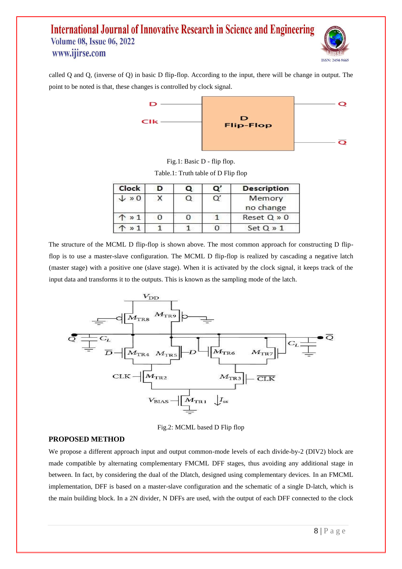

called Q and Q, (inverse of Q) in basic D flip-flop. According to the input, there will be change in output. The point to be noted is that, these changes is controlled by clock signal.



Fig.1: Basic D - flip flop.

| Table.1: Truth table of D Flip flop |  |  |  |  |  |
|-------------------------------------|--|--|--|--|--|
|                                     |  |  |  |  |  |

| Clock          | Q | $\circ$ | <b>Description</b>  |  |
|----------------|---|---------|---------------------|--|
| $\sqrt{0}$     |   | Q       | Memory<br>no change |  |
| $'$ » 1        |   |         | Reset Q » 0         |  |
| v <sub>1</sub> |   |         | $Set Q \gg 1$       |  |

The structure of the MCML D flip-flop is shown above. The most common approach for constructing D flipflop is to use a master-slave configuration. The MCML D flip-flop is realized by cascading a negative latch (master stage) with a positive one (slave stage). When it is activated by the clock signal, it keeps track of the input data and transforms it to the outputs. This is known as the sampling mode of the latch.



Fig.2: MCML based D Flip flop

### **PROPOSED METHOD**

We propose a different approach input and output common-mode levels of each divide-by-2 (DIV2) block are made compatible by alternating complementary FMCML DFF stages, thus avoiding any additional stage in between. In fact, by considering the dual of the Dlatch, designed using complementary devices. In an FMCML implementation, DFF is based on a master-slave configuration and the schematic of a single D-latch, which is the main building block. In a 2N divider, N DFFs are used, with the output of each DFF connected to the clock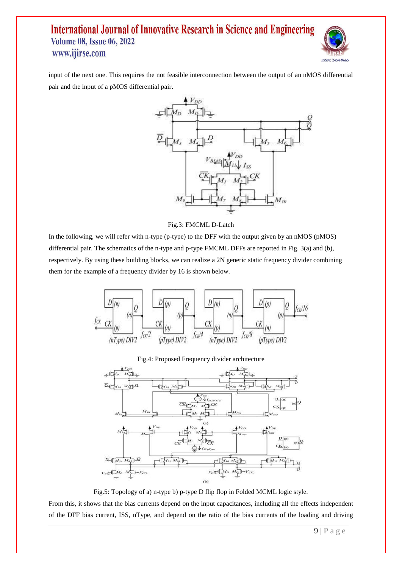

input of the next one. This requires the not feasible interconnection between the output of an nMOS differential pair and the input of a pMOS differential pair.



#### Fig.3: FMCML D-Latch

In the following, we will refer with n-type (p-type) to the DFF with the output given by an nMOS (pMOS) differential pair. The schematics of the n-type and p-type FMCML DFFs are reported in Fig. 3(a) and (b), respectively. By using these building blocks, we can realize a 2N generic static frequency divider combining them for the example of a frequency divider by 16 is shown below.





Fig.5: Topology of a) n-type b) p-type D flip flop in Folded MCML logic style.

From this, it shows that the bias currents depend on the input capacitances, including all the effects independent of the DFF bias current, ISS, nType, and depend on the ratio of the bias currents of the loading and driving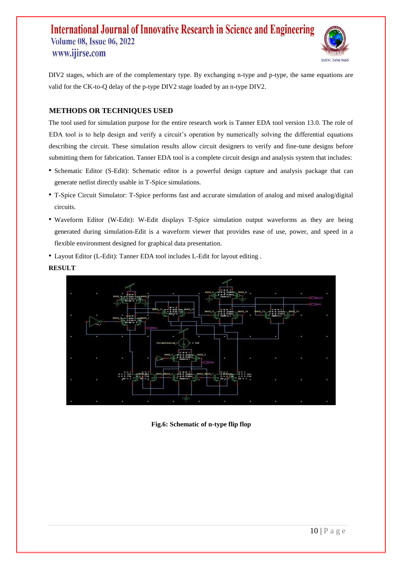

DIV2 stages, which are of the complementary type. By exchanging n-type and p-type, the same equations are valid for the CK-to-Q delay of the p-type DIV2 stage loaded by an n-type DIV2.

### **METHODS OR TECHNIQUES USED**

The tool used for simulation purpose for the entire research work is Tanner EDA tool version 13.0. The role of EDA tool is to help design and verify a circuit's operation by numerically solving the differential equations describing the circuit. These simulation results allow circuit designers to verify and fine-tune designs before submitting them for fabrication. Tanner EDA tool is a complete circuit design and analysis system that includes:

- Schematic Editor (S-Edit): Schematic editor is a powerful design capture and analysis package that can generate netlist directly usable in T-Spice simulations.
- T-Spice Circuit Simulator: T-Spice performs fast and accurate simulation of analog and mixed analog/digital circuits.
- Waveform Editor (W-Edit): W-Edit displays T-Spice simulation output waveforms as they are being generated during simulation-Edit is a waveform viewer that provides ease of use, power, and speed in a flexible environment designed for graphical data presentation.
- Layout Editor (L-Edit): Tanner EDA tool includes L-Edit for layout editing .

### **RESULT**



**Fig.6: Schematic of n-type flip flop**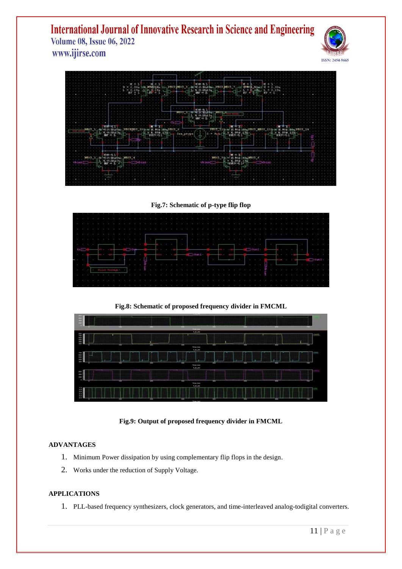



**Fig.7: Schematic of p-type flip flop** 

**Fig.8: Schematic of proposed frequency divider in FMCML** 



**Fig.9: Output of proposed frequency divider in FMCML** 

### **ADVANTAGES**

- 1. Minimum Power dissipation by using complementary flip flops in the design.
- 2. Works under the reduction of Supply Voltage.

### **APPLICATIONS**

1. PLL-based frequency synthesizers, clock generators, and time-interleaved analog-todigital converters.